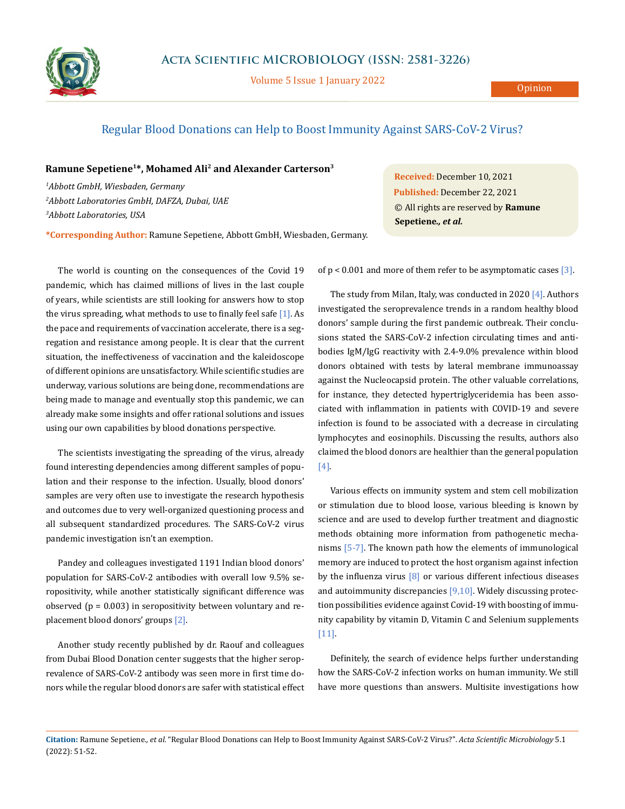

Volume 5 Issue 1 January 2022

## Regular Blood Donations can Help to Boost Immunity Against SARS-CoV-2 Virus?

## **Ramune Sepetiene1\*, Mohamed Ali2 and Alexander Carterson3**

*1 Abbott GmbH, Wiesbaden, Germany 2 Abbott Laboratories GmbH, DAFZA, Dubai, UAE 3 Abbott Laboratories, USA*

**Received:** December 10, 2021 **Published:** December 22, 2021 © All rights are reserved by **Ramune Sepetiene***., et al.*

**\*Corresponding Author:** Ramune Sepetiene, Abbott GmbH, Wiesbaden, Germany.

The world is counting on the consequences of the Covid 19 pandemic, which has claimed millions of lives in the last couple of years, while scientists are still looking for answers how to stop the virus spreading, what methods to use to finally feel safe [1]. As the pace and requirements of vaccination accelerate, there is a segregation and resistance among people. It is clear that the current situation, the ineffectiveness of vaccination and the kaleidoscope of different opinions are unsatisfactory. While scientific studies are underway, various solutions are being done, recommendations are being made to manage and eventually stop this pandemic, we can already make some insights and offer rational solutions and issues using our own capabilities by blood donations perspective.

The scientists investigating the spreading of the virus, already found interesting dependencies among different samples of population and their response to the infection. Usually, blood donors' samples are very often use to investigate the research hypothesis and outcomes due to very well-organized questioning process and all subsequent standardized procedures. The SARS-CoV-2 virus pandemic investigation isn't an exemption.

Pandey and colleagues investigated 1191 Indian blood donors' population for SARS-CoV-2 antibodies with overall low 9.5% seropositivity, while another statistically significant difference was observed ( $p = 0.003$ ) in seropositivity between voluntary and replacement blood donors' groups [2].

Another study recently published by dr. Raouf and colleagues from Dubai Blood Donation center suggests that the higher seroprevalence of SARS-CoV-2 antibody was seen more in first time donors while the regular blood donors are safer with statistical effect of  $p < 0.001$  and more of them refer to be asymptomatic cases [3].

The study from Milan, Italy, was conducted in 2020 [4]. Authors investigated the seroprevalence trends in a random healthy blood donors' sample during the first pandemic outbreak. Their conclusions stated the SARS-CoV-2 infection circulating times and antibodies IgM/IgG reactivity with 2.4-9.0% prevalence within blood donors obtained with tests by lateral membrane immunoassay against the Nucleocapsid protein. The other valuable correlations, for instance, they detected hypertriglyceridemia has been associated with inflammation in patients with COVID-19 and severe infection is found to be associated with a decrease in circulating lymphocytes and eosinophils. Discussing the results, authors also claimed the blood donors are healthier than the general population [4].

Various effects on immunity system and stem cell mobilization or stimulation due to blood loose, various bleeding is known by science and are used to develop further treatment and diagnostic methods obtaining more information from pathogenetic mechanisms [5-7]. The known path how the elements of immunological memory are induced to protect the host organism against infection by the influenza virus  $\lceil 8 \rceil$  or various different infectious diseases and autoimmunity discrepancies [9,10]. Widely discussing protection possibilities evidence against Covid-19 with boosting of immunity capability by vitamin D, Vitamin C and Selenium supplements [11].

Definitely, the search of evidence helps further understanding how the SARS-CoV-2 infection works on human immunity. We still have more questions than answers. Multisite investigations how

**Citation:** Ramune Sepetiene*., et al.* "Regular Blood Donations can Help to Boost Immunity Against SARS-CoV-2 Virus?". *Acta Scientific Microbiology* 5.1 (2022): 51-52.